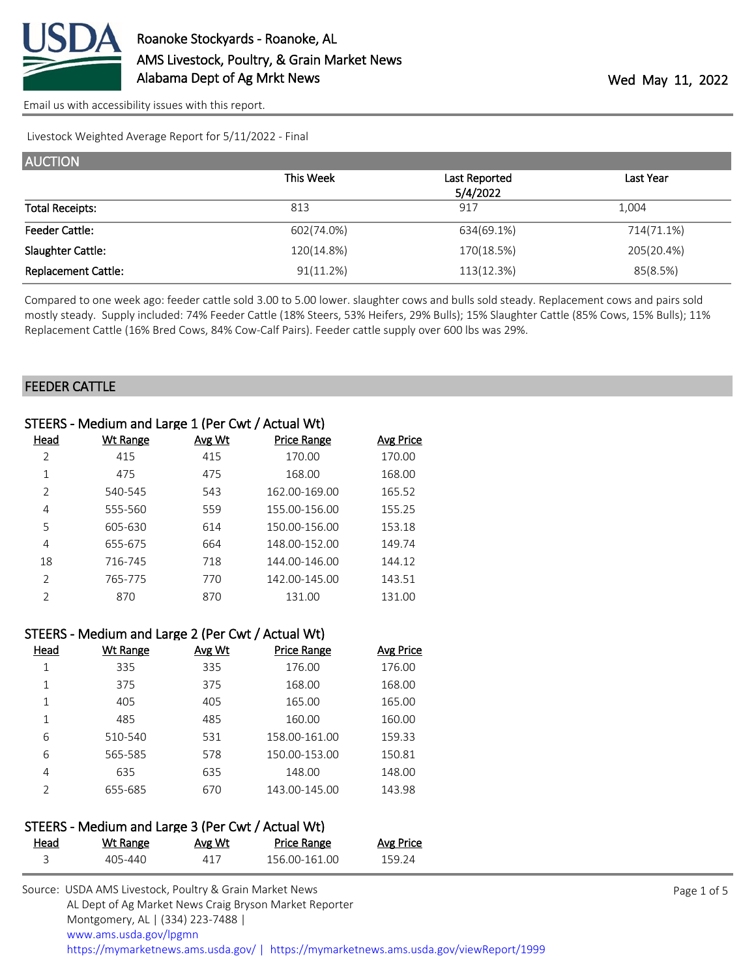

Livestock Weighted Average Report for 5/11/2022 - Final

| <b>AUCTION</b>             |            |               |            |
|----------------------------|------------|---------------|------------|
|                            | This Week  | Last Reported | Last Year  |
|                            |            | 5/4/2022      |            |
| <b>Total Receipts:</b>     | 813        | 917           | 1.004      |
| <b>Feeder Cattle:</b>      | 602(74.0%) | 634(69.1%)    | 714(71.1%) |
| Slaughter Cattle:          | 120(14.8%) | 170(18.5%)    | 205(20.4%) |
| <b>Replacement Cattle:</b> | 91(11.2%)  | 113(12.3%)    | 85(8.5%)   |

Compared to one week ago: feeder cattle sold 3.00 to 5.00 lower. slaughter cows and bulls sold steady. Replacement cows and pairs sold mostly steady. Supply included: 74% Feeder Cattle (18% Steers, 53% Heifers, 29% Bulls); 15% Slaughter Cattle (85% Cows, 15% Bulls); 11% Replacement Cattle (16% Bred Cows, 84% Cow-Calf Pairs). Feeder cattle supply over 600 lbs was 29%.

#### FEEDER CATTLE

| STEERS - Medium and Large 1 (Per Cwt / Actual Wt) |          |        |                    |                  |
|---------------------------------------------------|----------|--------|--------------------|------------------|
| <u>Head</u>                                       | Wt Range | Avg Wt | <b>Price Range</b> | <b>Avg Price</b> |
| 2                                                 | 415      | 415    | 170.00             | 170.00           |
| 1                                                 | 475      | 475    | 168.00             | 168.00           |
| 2                                                 | 540-545  | 543    | 162.00-169.00      | 165.52           |
| 4                                                 | 555-560  | 559    | 155.00-156.00      | 155.25           |
| 5                                                 | 605-630  | 614    | 150.00-156.00      | 153.18           |
| 4                                                 | 655-675  | 664    | 148.00-152.00      | 149.74           |
| 18                                                | 716-745  | 718    | 144.00-146.00      | 144.12           |
| $\mathcal{P}$                                     | 765-775  | 770    | 142.00-145.00      | 143.51           |
| $\mathcal{P}$                                     | 870      | 870    | 131.00             | 131.00           |
|                                                   |          |        |                    |                  |

|      | STEERS - Medium and Large 2 (Per Cwt / Actual Wt) |        |                    |                  |
|------|---------------------------------------------------|--------|--------------------|------------------|
| Head | <b>Wt Range</b>                                   | Avg Wt | <b>Price Range</b> | <b>Avg Price</b> |
| 1    | 335                                               | 335    | 176.00             | 176.00           |
| 1    | 375                                               | 375    | 168.00             | 168.00           |
| 1    | 405                                               | 405    | 165.00             | 165.00           |
| 1    | 485                                               | 485    | 160.00             | 160.00           |
| 6    | 510-540                                           | 531    | 158.00-161.00      | 159.33           |
| 6    | 565-585                                           | 578    | 150.00-153.00      | 150.81           |
| 4    | 635                                               | 635    | 148.00             | 148.00           |
| フ    | 655-685                                           | 670    | 143.00-145.00      | 143.98           |

# STEERS - Medium and Large 3 (Per Cwt / Actual Wt)

| Head | <u>Wt Range</u> | <u>Avg Wt</u> | Price Range   | Avg Price |
|------|-----------------|---------------|---------------|-----------|
|      | 405-440         | 417           | 156.00-161.00 | 159.24    |

| Source: USDA AMS Livestock, Poultry & Grain Market News                                |
|----------------------------------------------------------------------------------------|
| AL Dept of Ag Market News Craig Bryson Market Reporter                                 |
| Montgomery, AL   (334) 223-7488                                                        |
| www.ams.usda.gov/lpgmn                                                                 |
| https://mymarketnews.ams.usda.gov/   https://mymarketnews.ams.usda.gov/viewReport/1999 |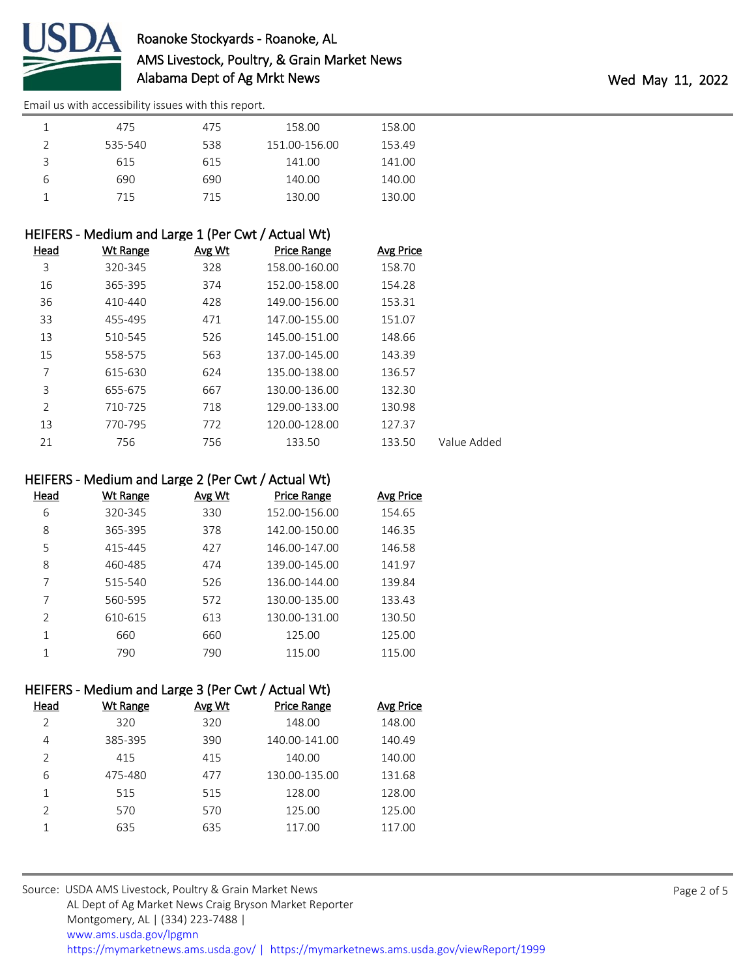

| <b>.</b> | 475     | 475 | 158.00        | 158.00 |
|----------|---------|-----|---------------|--------|
|          | 535-540 | 538 | 151.00-156.00 | 153.49 |
|          | 615     | 615 | 141.00        | 141.00 |
|          | 690     | 690 | 140.00        | 140.00 |
|          | 715     | 715 | 130.00        | 130.00 |

### HEIFERS - Medium and Large 1 (Per Cwt / Actual Wt)

| Head | <b>Wt Range</b> | Avg Wt | <b>Price Range</b> | <b>Avg Price</b> |             |
|------|-----------------|--------|--------------------|------------------|-------------|
| 3    | 320-345         | 328    | 158.00-160.00      | 158.70           |             |
| 16   | 365-395         | 374    | 152.00-158.00      | 154.28           |             |
| 36   | 410-440         | 428    | 149.00-156.00      | 153.31           |             |
| 33   | 455-495         | 471    | 147.00-155.00      | 151.07           |             |
| 13   | 510-545         | 526    | 145.00-151.00      | 148.66           |             |
| 15   | 558-575         | 563    | 137.00-145.00      | 143.39           |             |
| 7    | 615-630         | 624    | 135.00-138.00      | 136.57           |             |
| 3    | 655-675         | 667    | 130.00-136.00      | 132.30           |             |
| 2    | 710-725         | 718    | 129.00-133.00      | 130.98           |             |
| 13   | 770-795         | 772    | 120.00-128.00      | 127.37           |             |
| 21   | 756             | 756    | 133.50             | 133.50           | Value Added |

### HEIFERS - Medium and Large 2 (Per Cwt / Actual Wt)

| Head          | Wt Range | Avg Wt | <b>Price Range</b> | Avg Price |
|---------------|----------|--------|--------------------|-----------|
| 6             | 320-345  | 330    | 152.00-156.00      | 154.65    |
| 8             | 365-395  | 378    | 142.00-150.00      | 146.35    |
| 5             | 415-445  | 427    | 146.00-147.00      | 146.58    |
| 8             | 460-485  | 474    | 139.00-145.00      | 141.97    |
| 7             | 515-540  | 526    | 136.00-144.00      | 139.84    |
| 7             | 560-595  | 572    | 130.00-135.00      | 133.43    |
| $\mathcal{P}$ | 610-615  | 613    | 130.00-131.00      | 130.50    |
|               | 660      | 660    | 125.00             | 125.00    |
|               | 790      | 790    | 115.00             | 115.00    |

### HEIFERS - Medium and Large 3 (Per Cwt / Actual Wt)

| Head          | Wt Range | Avg Wt | <b>Price Range</b> | <b>Avg Price</b> |
|---------------|----------|--------|--------------------|------------------|
| $\mathcal{P}$ | 320      | 320    | 148.00             | 148.00           |
| 4             | 385-395  | 390    | 140.00-141.00      | 140.49           |
| $\mathcal{P}$ | 415      | 415    | 140.00             | 140.00           |
| 6             | 475-480  | 477    | 130.00-135.00      | 131.68           |
|               | 515      | 515    | 128.00             | 128.00           |
| $\mathcal{P}$ | 570      | 570    | 125.00             | 125.00           |
|               | 635      | 635    | 117.00             | 117.00           |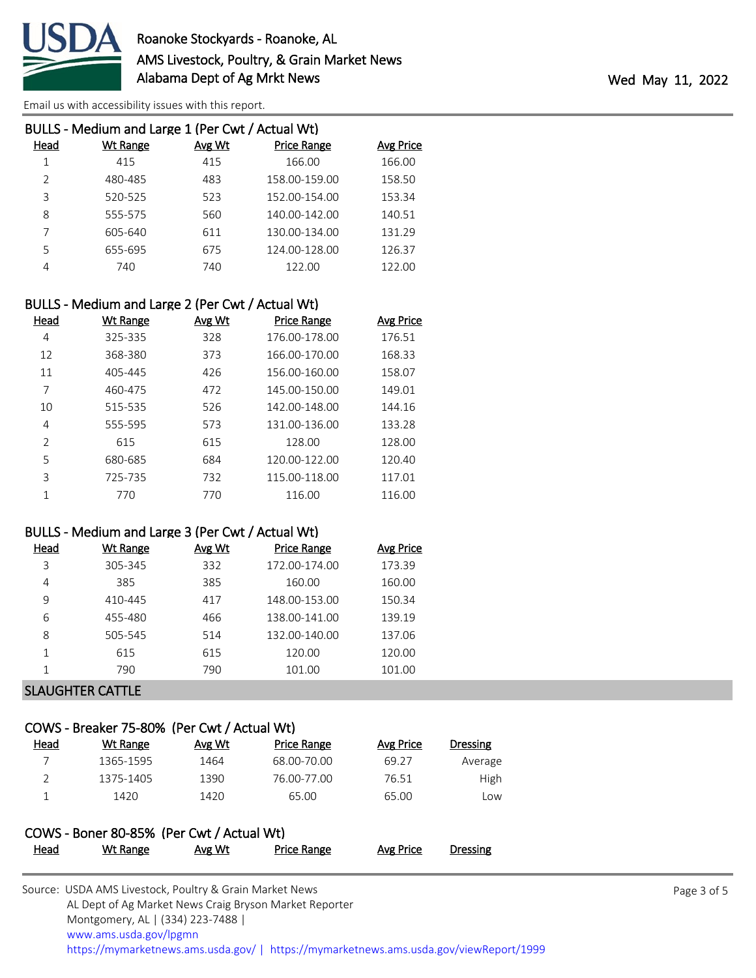

| BULLS - Medium and Large 1 (Per Cwt / Actual Wt) |          |        |                    |                  |
|--------------------------------------------------|----------|--------|--------------------|------------------|
| Head                                             | Wt Range | Avg Wt | <b>Price Range</b> | <b>Avg Price</b> |
|                                                  | 415      | 415    | 166.00             | 166.00           |
| $\mathcal{P}$                                    | 480-485  | 483    | 158.00-159.00      | 158.50           |
| 3                                                | 520-525  | 523    | 152.00-154.00      | 153.34           |
| 8                                                | 555-575  | 560    | 140.00-142.00      | 140.51           |
|                                                  | 605-640  | 611    | 130.00-134.00      | 131.29           |
| 5                                                | 655-695  | 675    | 124.00-128.00      | 126.37           |
| 4                                                | 740      | 740    | 122.00             | 122.00           |

### BULLS - Medium and Large 2 (Per Cwt / Actual Wt)

| Head          | Wt Range | Avg Wt | <b>Price Range</b> | <b>Avg Price</b> |
|---------------|----------|--------|--------------------|------------------|
| 4             | 325-335  | 328    | 176.00-178.00      | 176.51           |
| 12            | 368-380  | 373    | 166.00-170.00      | 168.33           |
| 11            | 405-445  | 426    | 156.00-160.00      | 158.07           |
| 7             | 460-475  | 472    | 145.00-150.00      | 149.01           |
| 10            | 515-535  | 526    | 142.00-148.00      | 144.16           |
| 4             | 555-595  | 573    | 131.00-136.00      | 133.28           |
| $\mathcal{P}$ | 615      | 615    | 128.00             | 128.00           |
| 5             | 680-685  | 684    | 120.00-122.00      | 120.40           |
| 3             | 725-735  | 732    | 115.00-118.00      | 117.01           |
|               | 770      | 770    | 116.00             | 116.00           |

## BULLS - Medium and Large 3 (Per Cwt / Actual Wt)

| Head | Wt Range         | Avg Wt | <b>Price Range</b> | Avg Price |
|------|------------------|--------|--------------------|-----------|
| 3    | 305-345          | 332    | 172.00-174.00      | 173.39    |
| 4    | 385              | 385    | 160.00             | 160.00    |
| 9    | 410-445          | 417    | 148.00-153.00      | 150.34    |
| 6    | 455-480          | 466    | 138.00-141.00      | 139.19    |
| 8    | 505-545          | 514    | 132.00-140.00      | 137.06    |
| 1    | 615              | 615    | 120.00             | 120.00    |
|      | 790              | 790    | 101.00             | 101.00    |
|      | . <del>.</del> . |        |                    |           |

# SLAUGHTER CATTLE

## COWS - Breaker 75-80% (Per Cwt / Actual Wt)

| Head | Wt Range                                  | Avg Wt | <b>Price Range</b> | Avg Price | <b>Dressing</b> |
|------|-------------------------------------------|--------|--------------------|-----------|-----------------|
|      | 1365-1595                                 | 1464   | 68.00-70.00        | 69.27     | Average         |
| 2    | 1375-1405                                 | 1390   | 76.00-77.00        | 76.51     | High            |
|      | 1420                                      | 1420   | 65.00              | 65.00     | Low             |
|      |                                           |        |                    |           |                 |
|      | COWS - Boner 80-85% (Per Cwt / Actual Wt) |        |                    |           |                 |
| Head | Wt Range                                  | Avg Wt | <b>Price Range</b> | Avg Price | Dressing        |

| Source: USDA AMS Livestock, Poultry & Grain Market News                                |
|----------------------------------------------------------------------------------------|
| AL Dept of Ag Market News Craig Bryson Market Reporter                                 |
| Montgomery, AL   (334) 223-7488                                                        |
| www.ams.usda.gov/lpgmn                                                                 |
| https://mymarketnews.ams.usda.gov/   https://mymarketnews.ams.usda.gov/viewReport/1999 |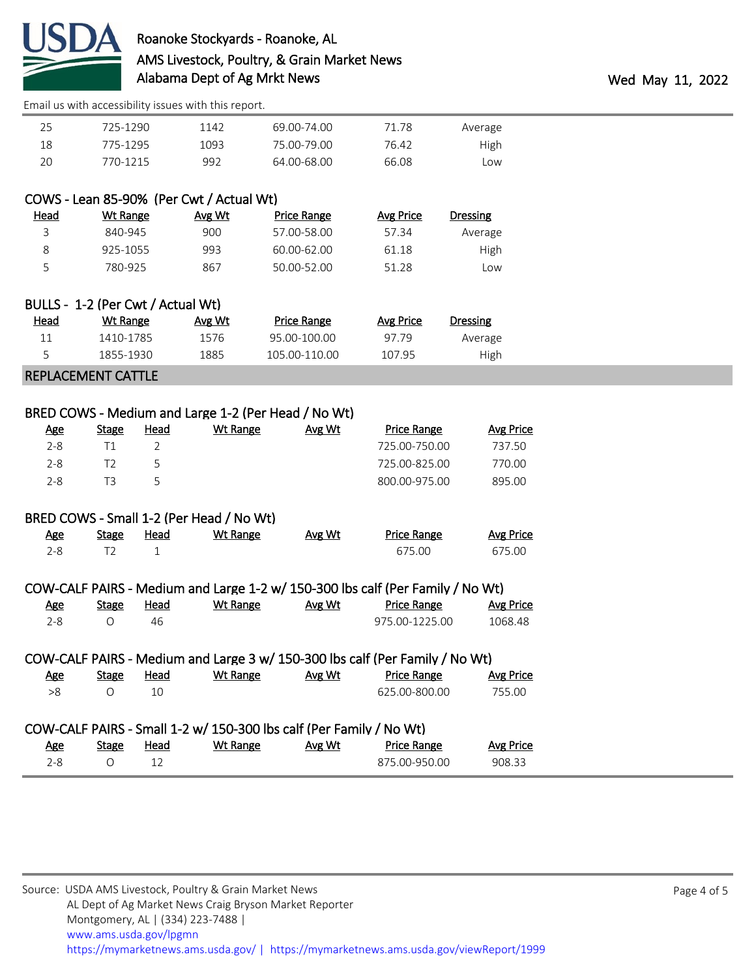

| Average | 71.78 | 69.00-74.00 | 1142 | 725-1290 | 25 |
|---------|-------|-------------|------|----------|----|
| High    | 76.42 | 75.00-79.00 | 1093 | 775-1295 | 18 |
| Low     | 66.08 | 64.00-68.00 | 992  | 770-1215 | 20 |

## COWS - Lean 85-90% (Per Cwt / Actual Wt)

| <u>Head</u> | Wt Range | Avg Wt | <b>Price Range</b> | Avg Price | Dressing |
|-------------|----------|--------|--------------------|-----------|----------|
|             | 840-945  | 900    | 57.00-58.00        | 57.34     | Average  |
|             | 925-1055 | 993    | 60.00-62.00        | 61.18     | High     |
|             | 780-925  | 867    | 50.00-52.00        | 51.28     | Low      |

|      | BULLS - 1-2 (Per Cwt / Actual Wt) |        |               |           |                 |
|------|-----------------------------------|--------|---------------|-----------|-----------------|
| Head | Wt Range                          | Avg Wt | Price Range   | Avg Price | <b>Dressing</b> |
| 11   | 1410-1785                         | 1576   | 95.00-100.00  | 97.79     | Average         |
|      | 1855-1930                         | 1885   | 105.00-110.00 | 107.95    | High            |
|      |                                   |        |               |           |                 |

#### REPLACEMENT CATTLE

| <u>Age</u> | <b>Stage</b> | Head | Wt Range | Avg Wt | <b>Price Range</b> | Avg Price |
|------------|--------------|------|----------|--------|--------------------|-----------|
| $2 - 8$    |              |      |          |        | 725.00-750.00      | 737.50    |
| $2 - 8$    |              |      |          |        | 725.00-825.00      | 770.00    |
| $2 - 8$    | ΤЗ           | ↳    |          |        | 800.00-975.00      | 895.00    |
|            |              |      |          |        |                    |           |

### BRED COWS - Small 1-2 (Per Head / No Wt)

| <u>Age</u> | <b>Stage</b> | Head | <u>Wt Range</u> | Avg Wt | <b>Price Range</b> | <u>Avg Price</u> |
|------------|--------------|------|-----------------|--------|--------------------|------------------|
|            |              |      |                 |        | 675.00             | 675.00           |

|     |       |      |          |        | COW-CALF PAIRS - Medium and Large 1-2 w/ 150-300 lbs calf (Per Family / No Wt) |           |
|-----|-------|------|----------|--------|--------------------------------------------------------------------------------|-----------|
| Age | Stage | Head | Wt Range | Avg Wt | <b>Price Range</b>                                                             | Avg Price |
| 2-8 |       | 46.  |          |        | 975.00-1225.00                                                                 | 1068.48   |

|     |              |      |                                                                     |        | COW-CALF PAIRS - Medium and Large 3 w/ 150-300 lbs calf (Per Family / No Wt) |                  |
|-----|--------------|------|---------------------------------------------------------------------|--------|------------------------------------------------------------------------------|------------------|
| Age | <b>Stage</b> | Head | Wt Range                                                            | Avg Wt | <b>Price Range</b>                                                           | <b>Avg Price</b> |
| >8  |              | 10   |                                                                     |        | 625.00-800.00                                                                | 755.00           |
|     |              |      | COW-CALF PAIRS - Small 1-2 w/ 150-300 lbs calf (Per Family / No Wt) |        |                                                                              |                  |

| <u>Age</u> | Stage | <u>Head</u> | <b>Wt Range</b> | Avg Wt | <b>Price Range</b> | <b>Avg Price</b> |
|------------|-------|-------------|-----------------|--------|--------------------|------------------|
|            |       | ᅩᅩ          |                 |        | 875.00-950.00      | 908.33           |